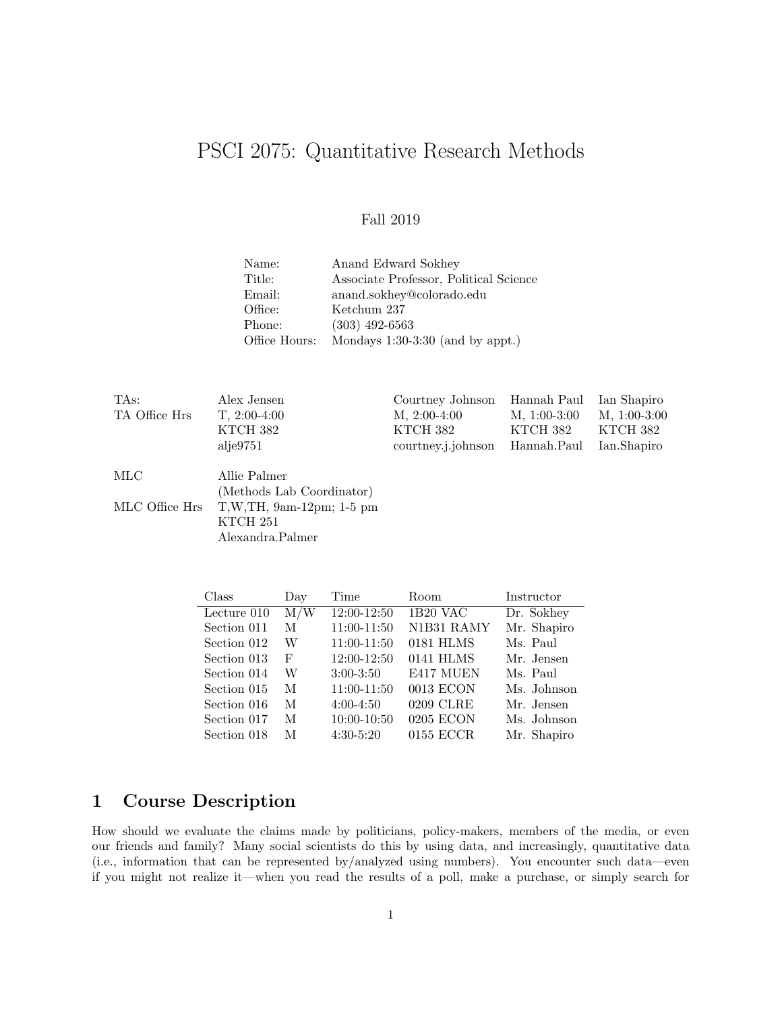# PSCI 2075: Quantitative Research Methods

## Fall 2019

| Name:         | Anand Edward Sokhey                    |
|---------------|----------------------------------------|
| Title:        | Associate Professor, Political Science |
| Email:        | anand.sokhey@colorado.edu              |
| Office:       | Ketchum 237                            |
| Phone:        | $(303)$ 492-6563                       |
| Office Hours: | Mondays $1:30-3:30$ (and by appt.)     |

| TAs:           | Alex Jensen               | Courtney Johnson   | Hannah Paul    | Ian Shapiro    |
|----------------|---------------------------|--------------------|----------------|----------------|
| TA Office Hrs  | $T, 2:00-4:00$            | $M, 2:00-4:00$     | $M, 1:00-3:00$ | $M, 1:00-3:00$ |
|                | KTCH 382                  | KTCH 382           | KTCH 382       | KTCH 382       |
|                | alje9751                  | courtney.j.johnson | Hannah.Paul    | Ian.Shapiro    |
| MLC            | Allie Palmer              |                    |                |                |
|                | (Methods Lab Coordinator) |                    |                |                |
| MLC Office Hrs | $T,W,TH, 9am-12pm; 1-5pm$ |                    |                |                |
|                | KTCH 251                  |                    |                |                |
|                | Alexandra.Palmer          |                    |                |                |

| Class       | Day | Time            | Room        | Instructor  |
|-------------|-----|-----------------|-------------|-------------|
| Lecture 010 | M/W | 12:00-12:50     | 1B20 VAC    | Dr. Sokhey  |
| Section 011 | M   | 11:00-11:50     | N1B31 RAMY  | Mr. Shapiro |
| Section 012 | W   | 11:00-11:50     | 0181 HLMS   | Ms. Paul    |
| Section 013 | F   | 12:00-12:50     | 0141 HLMS   | Mr. Jensen  |
| Section 014 | W   | $3:00-3:50$     | E417 MUEN   | Ms. Paul    |
| Section 015 | M   | 11:00-11:50     | 0013 ECON   | Ms. Johnson |
| Section 016 | M   | $4:00 - 4:50$   | 0209 CLRE   | Mr. Jensen  |
| Section 017 | M   | $10:00 - 10:50$ | 0205 ECON   | Ms. Johnson |
| Section 018 | М   | $4:30-5:20$     | $0155$ ECCR | Mr. Shapiro |

# 1 Course Description

How should we evaluate the claims made by politicians, policy-makers, members of the media, or even our friends and family? Many social scientists do this by using data, and increasingly, quantitative data (i.e., information that can be represented by/analyzed using numbers). You encounter such data—even if you might not realize it—when you read the results of a poll, make a purchase, or simply search for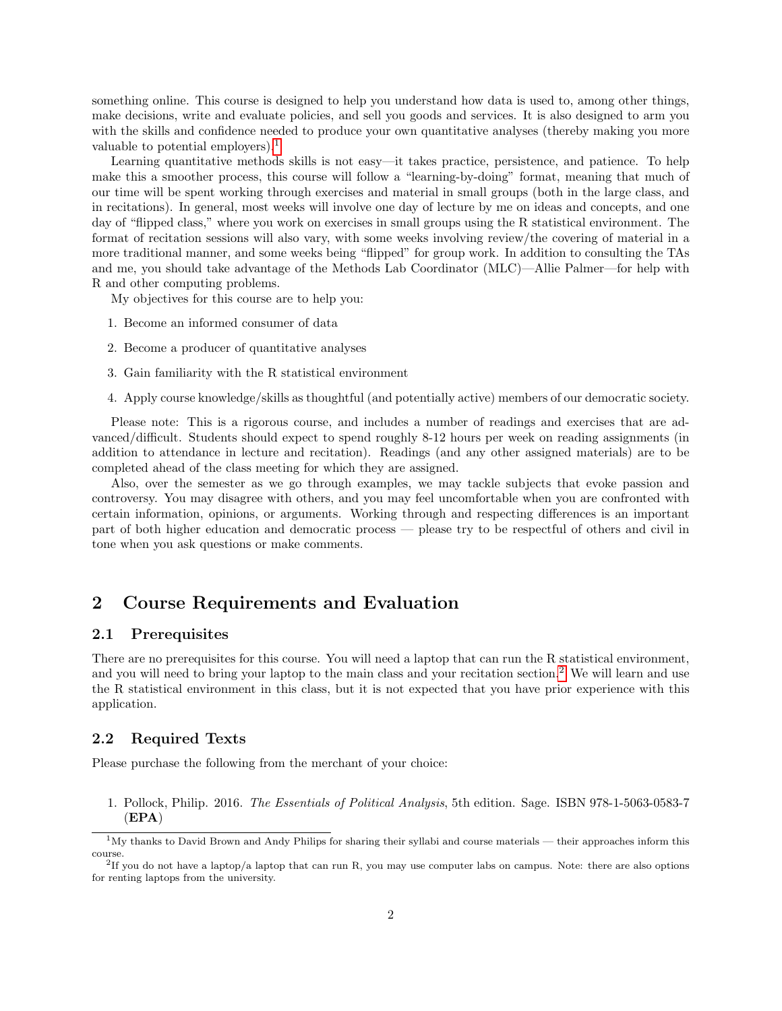something online. This course is designed to help you understand how data is used to, among other things, make decisions, write and evaluate policies, and sell you goods and services. It is also designed to arm you with the skills and confidence needed to produce your own quantitative analyses (thereby making you more valuable to potential employers).<sup>[1](#page-1-0)</sup>

Learning quantitative methods skills is not easy—it takes practice, persistence, and patience. To help make this a smoother process, this course will follow a "learning-by-doing" format, meaning that much of our time will be spent working through exercises and material in small groups (both in the large class, and in recitations). In general, most weeks will involve one day of lecture by me on ideas and concepts, and one day of "flipped class," where you work on exercises in small groups using the R statistical environment. The format of recitation sessions will also vary, with some weeks involving review/the covering of material in a more traditional manner, and some weeks being "flipped" for group work. In addition to consulting the TAs and me, you should take advantage of the Methods Lab Coordinator (MLC)—Allie Palmer—for help with R and other computing problems.

My objectives for this course are to help you:

- 1. Become an informed consumer of data
- 2. Become a producer of quantitative analyses
- 3. Gain familiarity with the R statistical environment
- 4. Apply course knowledge/skills as thoughtful (and potentially active) members of our democratic society.

Please note: This is a rigorous course, and includes a number of readings and exercises that are advanced/difficult. Students should expect to spend roughly 8-12 hours per week on reading assignments (in addition to attendance in lecture and recitation). Readings (and any other assigned materials) are to be completed ahead of the class meeting for which they are assigned.

Also, over the semester as we go through examples, we may tackle subjects that evoke passion and controversy. You may disagree with others, and you may feel uncomfortable when you are confronted with certain information, opinions, or arguments. Working through and respecting differences is an important part of both higher education and democratic process — please try to be respectful of others and civil in tone when you ask questions or make comments.

# 2 Course Requirements and Evaluation

### 2.1 Prerequisites

There are no prerequisites for this course. You will need a laptop that can run the R statistical environment, and you will need to bring your laptop to the main class and your recitation section.<sup>[2](#page-1-1)</sup> We will learn and use the R statistical environment in this class, but it is not expected that you have prior experience with this application.

#### 2.2 Required Texts

Please purchase the following from the merchant of your choice:

1. Pollock, Philip. 2016. The Essentials of Political Analysis, 5th edition. Sage. ISBN 978-1-5063-0583-7 (EPA)

<span id="page-1-0"></span><sup>1</sup>My thanks to David Brown and Andy Philips for sharing their syllabi and course materials — their approaches inform this course.

<span id="page-1-1"></span><sup>2</sup> If you do not have a laptop/a laptop that can run R, you may use computer labs on campus. Note: there are also options for renting laptops from the university.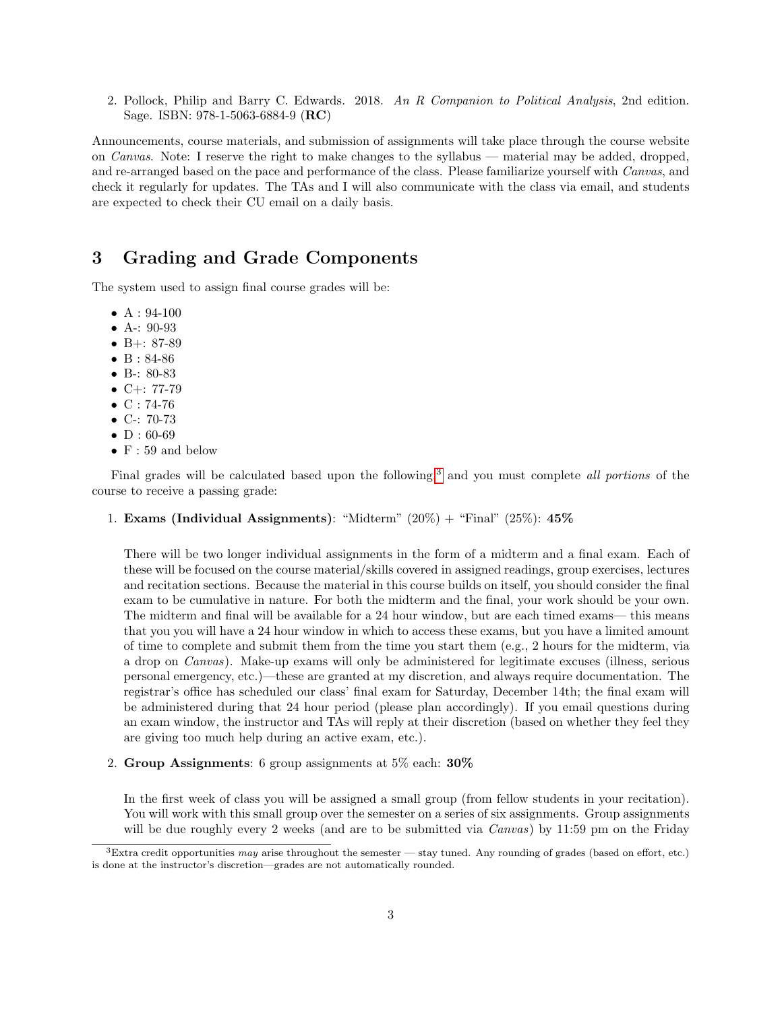2. Pollock, Philip and Barry C. Edwards. 2018. An R Companion to Political Analysis, 2nd edition. Sage. ISBN: 978-1-5063-6884-9 (RC)

Announcements, course materials, and submission of assignments will take place through the course website on Canvas. Note: I reserve the right to make changes to the syllabus — material may be added, dropped, and re-arranged based on the pace and performance of the class. Please familiarize yourself with Canvas, and check it regularly for updates. The TAs and I will also communicate with the class via email, and students are expected to check their CU email on a daily basis.

# 3 Grading and Grade Components

The system used to assign final course grades will be:

- $A: 94-100$
- A-: 90-93
- B+:  $87-89$
- B : 84-86
- B-: 80-83
- $C+: 77-79$
- $C: 74-76$
- C-: 70-73
- $D: 60-69$
- $\bullet\,$  F : 59 and below

Final grades will be calculated based upon the following,<sup>[3](#page-2-0)</sup> and you must complete *all portions* of the course to receive a passing grade:

1. Exams (Individual Assignments): "Midterm"  $(20\%) +$  "Final"  $(25\%)$ : 45%

There will be two longer individual assignments in the form of a midterm and a final exam. Each of these will be focused on the course material/skills covered in assigned readings, group exercises, lectures and recitation sections. Because the material in this course builds on itself, you should consider the final exam to be cumulative in nature. For both the midterm and the final, your work should be your own. The midterm and final will be available for a 24 hour window, but are each timed exams— this means that you you will have a 24 hour window in which to access these exams, but you have a limited amount of time to complete and submit them from the time you start them (e.g., 2 hours for the midterm, via a drop on Canvas). Make-up exams will only be administered for legitimate excuses (illness, serious personal emergency, etc.)—these are granted at my discretion, and always require documentation. The registrar's office has scheduled our class' final exam for Saturday, December 14th; the final exam will be administered during that 24 hour period (please plan accordingly). If you email questions during an exam window, the instructor and TAs will reply at their discretion (based on whether they feel they are giving too much help during an active exam, etc.).

2. Group Assignments: 6 group assignments at 5% each: 30%

In the first week of class you will be assigned a small group (from fellow students in your recitation). You will work with this small group over the semester on a series of six assignments. Group assignments will be due roughly every 2 weeks (and are to be submitted via *Canvas*) by 11:59 pm on the Friday

<span id="page-2-0"></span> $3$ Extra credit opportunities may arise throughout the semester — stay tuned. Any rounding of grades (based on effort, etc.) is done at the instructor's discretion—grades are not automatically rounded.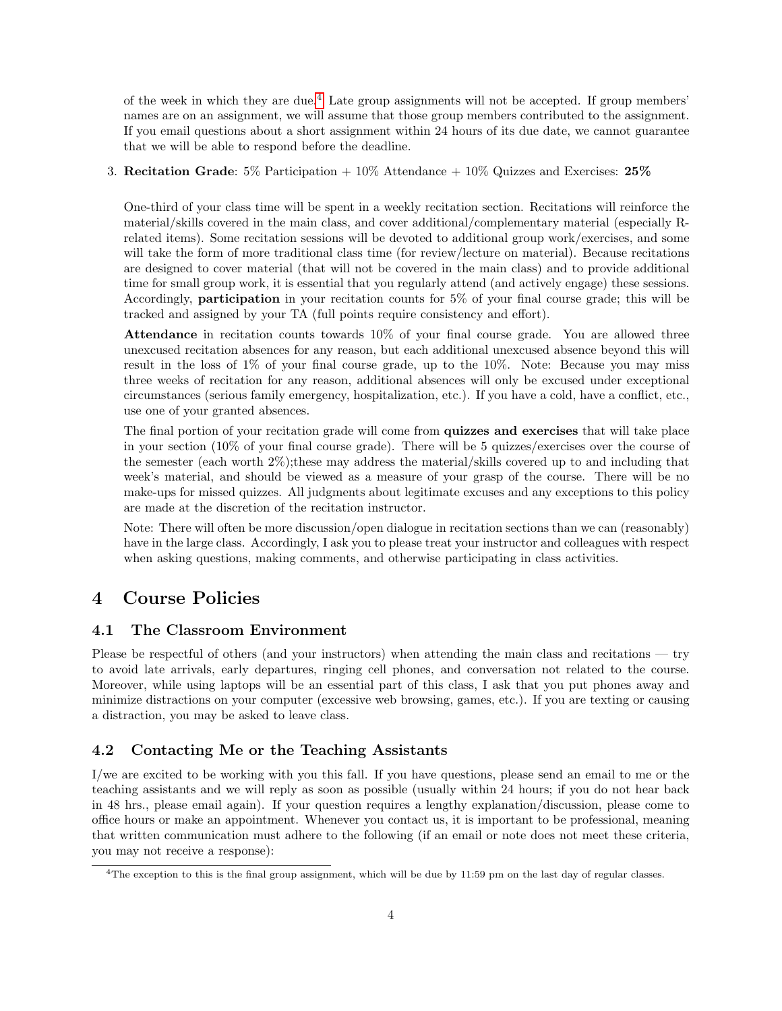of the week in which they are due.[4](#page-3-0) Late group assignments will not be accepted. If group members' names are on an assignment, we will assume that those group members contributed to the assignment. If you email questions about a short assignment within 24 hours of its due date, we cannot guarantee that we will be able to respond before the deadline.

#### 3. Recitation Grade:  $5\%$  Participation  $+10\%$  Attendance  $+10\%$  Quizzes and Exercises:  $25\%$

One-third of your class time will be spent in a weekly recitation section. Recitations will reinforce the material/skills covered in the main class, and cover additional/complementary material (especially Rrelated items). Some recitation sessions will be devoted to additional group work/exercises, and some will take the form of more traditional class time (for review/lecture on material). Because recitations are designed to cover material (that will not be covered in the main class) and to provide additional time for small group work, it is essential that you regularly attend (and actively engage) these sessions. Accordingly, participation in your recitation counts for 5% of your final course grade; this will be tracked and assigned by your TA (full points require consistency and effort).

Attendance in recitation counts towards  $10\%$  of your final course grade. You are allowed three unexcused recitation absences for any reason, but each additional unexcused absence beyond this will result in the loss of 1% of your final course grade, up to the 10%. Note: Because you may miss three weeks of recitation for any reason, additional absences will only be excused under exceptional circumstances (serious family emergency, hospitalization, etc.). If you have a cold, have a conflict, etc., use one of your granted absences.

The final portion of your recitation grade will come from quizzes and exercises that will take place in your section (10% of your final course grade). There will be 5 quizzes/exercises over the course of the semester (each worth 2%);these may address the material/skills covered up to and including that week's material, and should be viewed as a measure of your grasp of the course. There will be no make-ups for missed quizzes. All judgments about legitimate excuses and any exceptions to this policy are made at the discretion of the recitation instructor.

Note: There will often be more discussion/open dialogue in recitation sections than we can (reasonably) have in the large class. Accordingly, I ask you to please treat your instructor and colleagues with respect when asking questions, making comments, and otherwise participating in class activities.

# 4 Course Policies

### 4.1 The Classroom Environment

Please be respectful of others (and your instructors) when attending the main class and recitations — try to avoid late arrivals, early departures, ringing cell phones, and conversation not related to the course. Moreover, while using laptops will be an essential part of this class, I ask that you put phones away and minimize distractions on your computer (excessive web browsing, games, etc.). If you are texting or causing a distraction, you may be asked to leave class.

### 4.2 Contacting Me or the Teaching Assistants

I/we are excited to be working with you this fall. If you have questions, please send an email to me or the teaching assistants and we will reply as soon as possible (usually within 24 hours; if you do not hear back in 48 hrs., please email again). If your question requires a lengthy explanation/discussion, please come to office hours or make an appointment. Whenever you contact us, it is important to be professional, meaning that written communication must adhere to the following (if an email or note does not meet these criteria, you may not receive a response):

<span id="page-3-0"></span><sup>&</sup>lt;sup>4</sup>The exception to this is the final group assignment, which will be due by 11:59 pm on the last day of regular classes.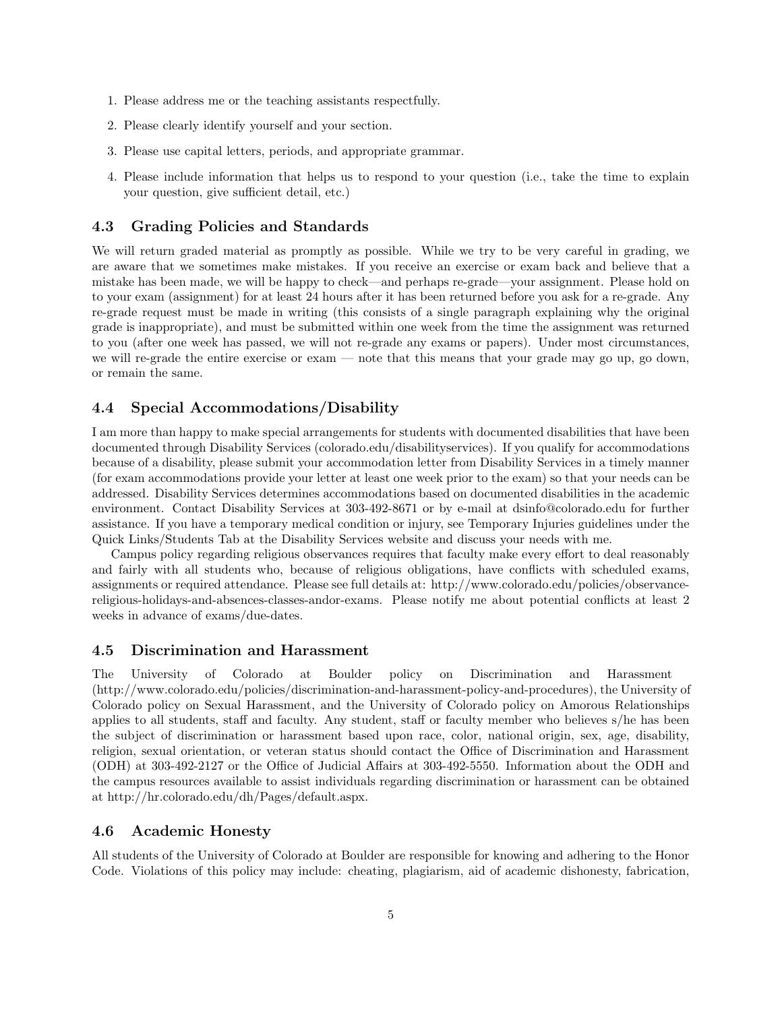- 1. Please address me or the teaching assistants respectfully.
- 2. Please clearly identify yourself and your section.
- 3. Please use capital letters, periods, and appropriate grammar.
- 4. Please include information that helps us to respond to your question (i.e., take the time to explain your question, give sufficient detail, etc.)

#### 4.3 Grading Policies and Standards

We will return graded material as promptly as possible. While we try to be very careful in grading, we are aware that we sometimes make mistakes. If you receive an exercise or exam back and believe that a mistake has been made, we will be happy to check—and perhaps re-grade—your assignment. Please hold on to your exam (assignment) for at least 24 hours after it has been returned before you ask for a re-grade. Any re-grade request must be made in writing (this consists of a single paragraph explaining why the original grade is inappropriate), and must be submitted within one week from the time the assignment was returned to you (after one week has passed, we will not re-grade any exams or papers). Under most circumstances, we will re-grade the entire exercise or exam — note that this means that your grade may go up, go down, or remain the same.

### 4.4 Special Accommodations/Disability

I am more than happy to make special arrangements for students with documented disabilities that have been documented through Disability Services (colorado.edu/disabilityservices). If you qualify for accommodations because of a disability, please submit your accommodation letter from Disability Services in a timely manner (for exam accommodations provide your letter at least one week prior to the exam) so that your needs can be addressed. Disability Services determines accommodations based on documented disabilities in the academic environment. Contact Disability Services at 303-492-8671 or by e-mail at dsinfo@colorado.edu for further assistance. If you have a temporary medical condition or injury, see Temporary Injuries guidelines under the Quick Links/Students Tab at the Disability Services website and discuss your needs with me.

Campus policy regarding religious observances requires that faculty make every effort to deal reasonably and fairly with all students who, because of religious obligations, have conflicts with scheduled exams, assignments or required attendance. Please see full details at: http://www.colorado.edu/policies/observancereligious-holidays-and-absences-classes-andor-exams. Please notify me about potential conflicts at least 2 weeks in advance of exams/due-dates.

#### 4.5 Discrimination and Harassment

The University of Colorado at Boulder policy on Discrimination and Harassment (http://www.colorado.edu/policies/discrimination-and-harassment-policy-and-procedures), the University of Colorado policy on Sexual Harassment, and the University of Colorado policy on Amorous Relationships applies to all students, staff and faculty. Any student, staff or faculty member who believes s/he has been the subject of discrimination or harassment based upon race, color, national origin, sex, age, disability, religion, sexual orientation, or veteran status should contact the Office of Discrimination and Harassment (ODH) at 303-492-2127 or the Office of Judicial Affairs at 303-492-5550. Information about the ODH and the campus resources available to assist individuals regarding discrimination or harassment can be obtained at http://hr.colorado.edu/dh/Pages/default.aspx.

#### 4.6 Academic Honesty

All students of the University of Colorado at Boulder are responsible for knowing and adhering to the Honor Code. Violations of this policy may include: cheating, plagiarism, aid of academic dishonesty, fabrication,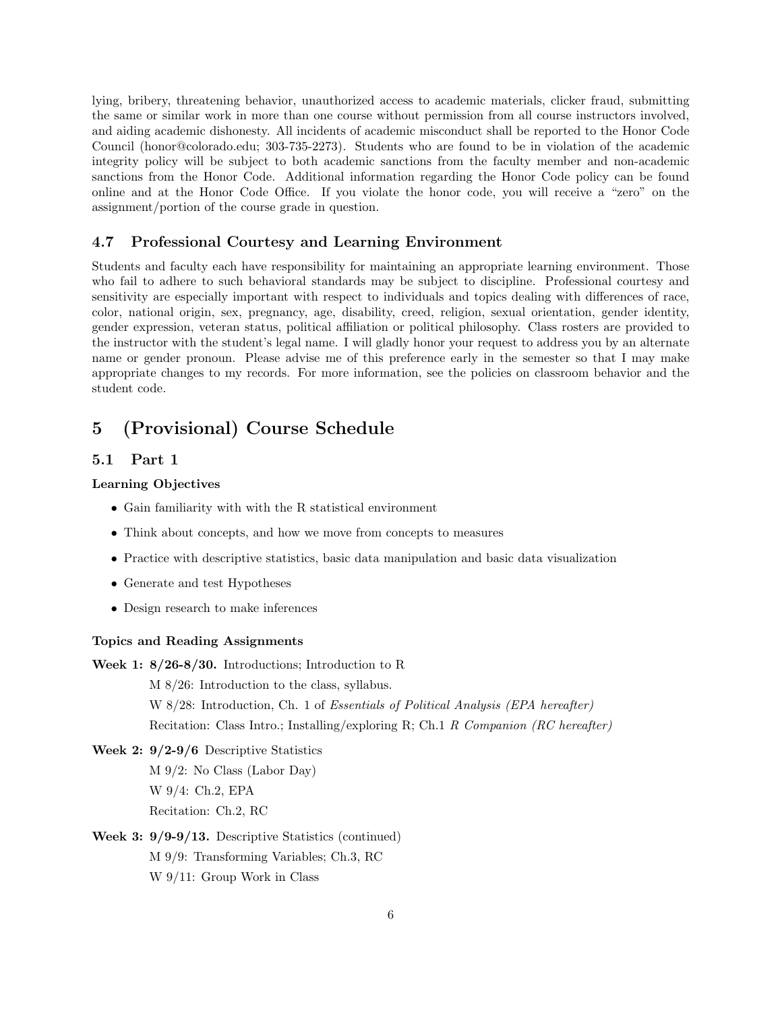lying, bribery, threatening behavior, unauthorized access to academic materials, clicker fraud, submitting the same or similar work in more than one course without permission from all course instructors involved, and aiding academic dishonesty. All incidents of academic misconduct shall be reported to the Honor Code Council (honor@colorado.edu; 303-735-2273). Students who are found to be in violation of the academic integrity policy will be subject to both academic sanctions from the faculty member and non-academic sanctions from the Honor Code. Additional information regarding the Honor Code policy can be found online and at the Honor Code Office. If you violate the honor code, you will receive a "zero" on the assignment/portion of the course grade in question.

#### 4.7 Professional Courtesy and Learning Environment

Students and faculty each have responsibility for maintaining an appropriate learning environment. Those who fail to adhere to such behavioral standards may be subject to discipline. Professional courtesy and sensitivity are especially important with respect to individuals and topics dealing with differences of race, color, national origin, sex, pregnancy, age, disability, creed, religion, sexual orientation, gender identity, gender expression, veteran status, political affiliation or political philosophy. Class rosters are provided to the instructor with the student's legal name. I will gladly honor your request to address you by an alternate name or gender pronoun. Please advise me of this preference early in the semester so that I may make appropriate changes to my records. For more information, see the policies on classroom behavior and the student code.

# 5 (Provisional) Course Schedule

### 5.1 Part 1

#### Learning Objectives

- Gain familiarity with with the R statistical environment
- Think about concepts, and how we move from concepts to measures
- Practice with descriptive statistics, basic data manipulation and basic data visualization
- Generate and test Hypotheses
- Design research to make inferences

#### Topics and Reading Assignments

Week 1: 8/26-8/30. Introductions; Introduction to R

M 8/26: Introduction to the class, syllabus.

W 8/28: Introduction, Ch. 1 of *Essentials of Political Analysis (EPA hereafter)* Recitation: Class Intro.; Installing/exploring R; Ch.1 R Companion (RC hereafter)

Week 2: 9/2-9/6 Descriptive Statistics M 9/2: No Class (Labor Day) W 9/4: Ch.2, EPA Recitation: Ch.2, RC

Week 3: 9/9-9/13. Descriptive Statistics (continued) M 9/9: Transforming Variables; Ch.3, RC W 9/11: Group Work in Class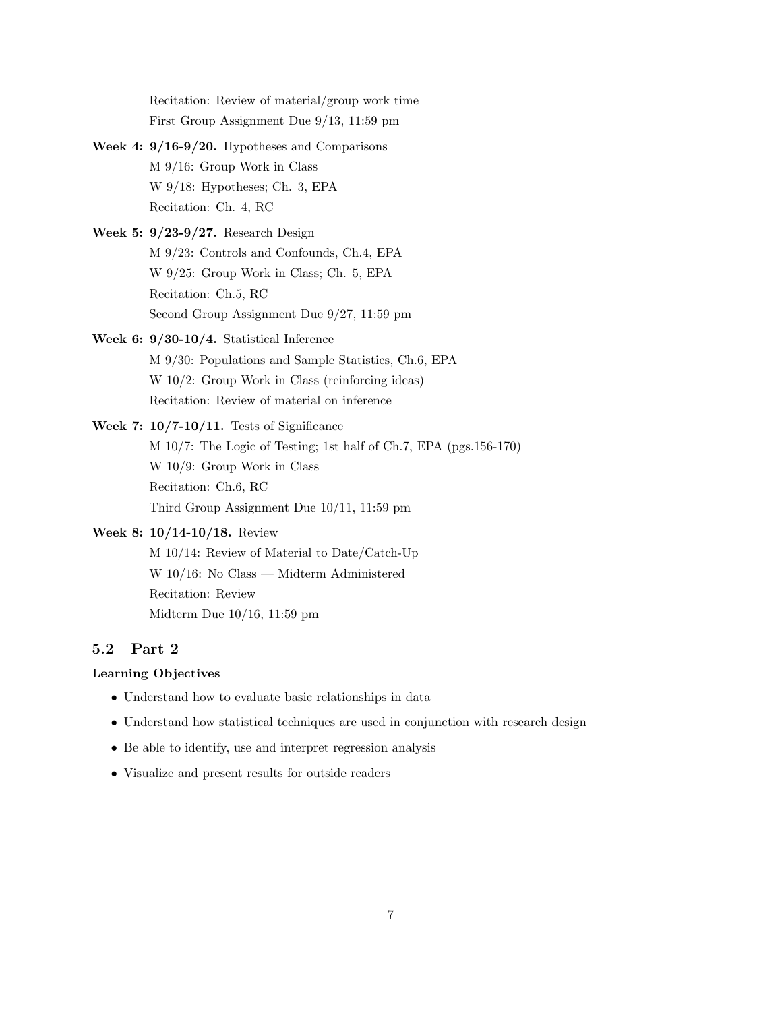Recitation: Review of material/group work time First Group Assignment Due 9/13, 11:59 pm

- Week 4: 9/16-9/20. Hypotheses and Comparisons M 9/16: Group Work in Class W 9/18: Hypotheses; Ch. 3, EPA Recitation: Ch. 4, RC
- Week 5: 9/23-9/27. Research Design M 9/23: Controls and Confounds, Ch.4, EPA W 9/25: Group Work in Class; Ch. 5, EPA Recitation: Ch.5, RC Second Group Assignment Due 9/27, 11:59 pm
- Week 6: 9/30-10/4. Statistical Inference M 9/30: Populations and Sample Statistics, Ch.6, EPA W 10/2: Group Work in Class (reinforcing ideas) Recitation: Review of material on inference
- Week 7: 10/7-10/11. Tests of Significance M 10/7: The Logic of Testing; 1st half of Ch.7, EPA (pgs.156-170) W 10/9: Group Work in Class Recitation: Ch.6, RC Third Group Assignment Due 10/11, 11:59 pm

### Week 8: 10/14-10/18. Review

M 10/14: Review of Material to Date/Catch-Up W 10/16: No Class — Midterm Administered Recitation: Review Midterm Due 10/16, 11:59 pm

# 5.2 Part 2

### Learning Objectives

- Understand how to evaluate basic relationships in data
- Understand how statistical techniques are used in conjunction with research design
- Be able to identify, use and interpret regression analysis
- Visualize and present results for outside readers